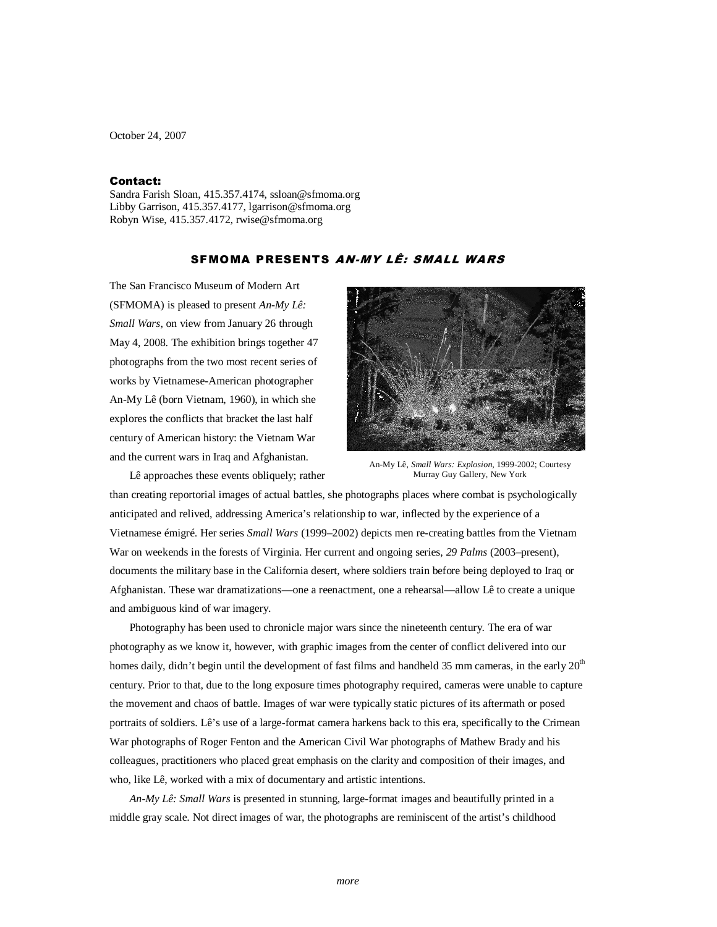October 24, 2007

## Contact:

Sandra Farish Sloan, 415.357.4174, ssloan@sfmoma.org Libby Garrison, 415.357.4177, lgarrison@sfmoma.org Robyn Wise, 415.357.4172, rwise@sfmoma.org

## SFMOMA PRESENTS AN-MY LÊ: SMALL WARS

The San Francisco Museum of Modern Art (SFMOMA) is pleased to present *An-My Lê: Small Wars*, on view from January 26 through May 4, 2008. The exhibition brings together 47 photographs from the two most recent series of works by Vietnamese-American photographer An-My Lê (born Vietnam, 1960), in which she explores the conflicts that bracket the last half century of American history: the Vietnam War and the current wars in Iraq and Afghanistan.

Lê approaches these events obliquely; rather



An-My Lê, *Small Wars: Explosion*, 1999-2002; Courtesy Murray Guy Gallery, New York

than creating reportorial images of actual battles, she photographs places where combat is psychologically anticipated and relived, addressing America's relationship to war, inflected by the experience of a Vietnamese émigré. Her series *Small Wars* (1999–2002) depicts men re-creating battles from the Vietnam War on weekends in the forests of Virginia. Her current and ongoing series, *29 Palms* (2003–present), documents the military base in the California desert, where soldiers train before being deployed to Iraq or Afghanistan. These war dramatizations—one a reenactment, one a rehearsal—allow Lê to create a unique and ambiguous kind of war imagery.

Photography has been used to chronicle major wars since the nineteenth century. The era of war photography as we know it, however, with graphic images from the center of conflict delivered into our homes daily, didn't begin until the development of fast films and handheld 35 mm cameras, in the early  $20<sup>th</sup>$ century. Prior to that, due to the long exposure times photography required, cameras were unable to capture the movement and chaos of battle. Images of war were typically static pictures of its aftermath or posed portraits of soldiers. Lê's use of a large-format camera harkens back to this era, specifically to the Crimean War photographs of Roger Fenton and the American Civil War photographs of Mathew Brady and his colleagues, practitioners who placed great emphasis on the clarity and composition of their images, and who, like Lê, worked with a mix of documentary and artistic intentions.

*An-My Lê: Small Wars* is presented in stunning, large-format images and beautifully printed in a middle gray scale. Not direct images of war, the photographs are reminiscent of the artist's childhood